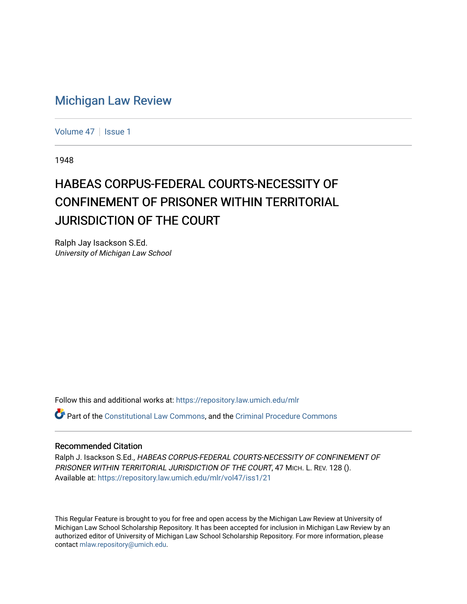## [Michigan Law Review](https://repository.law.umich.edu/mlr)

[Volume 47](https://repository.law.umich.edu/mlr/vol47) | [Issue 1](https://repository.law.umich.edu/mlr/vol47/iss1)

1948

## HABEAS CORPUS-FEDERAL COURTS-NECESSITY OF CONFINEMENT OF PRISONER WITHIN TERRITORIAL JURISDICTION OF THE COURT

Ralph Jay Isackson S.Ed. University of Michigan Law School

Follow this and additional works at: [https://repository.law.umich.edu/mlr](https://repository.law.umich.edu/mlr?utm_source=repository.law.umich.edu%2Fmlr%2Fvol47%2Fiss1%2F21&utm_medium=PDF&utm_campaign=PDFCoverPages) 

**Part of the [Constitutional Law Commons,](http://network.bepress.com/hgg/discipline/589?utm_source=repository.law.umich.edu%2Fmlr%2Fvol47%2Fiss1%2F21&utm_medium=PDF&utm_campaign=PDFCoverPages) and the [Criminal Procedure Commons](http://network.bepress.com/hgg/discipline/1073?utm_source=repository.law.umich.edu%2Fmlr%2Fvol47%2Fiss1%2F21&utm_medium=PDF&utm_campaign=PDFCoverPages)** 

## Recommended Citation

Ralph J. Isackson S.Ed., HABEAS CORPUS-FEDERAL COURTS-NECESSITY OF CONFINEMENT OF PRISONER WITHIN TERRITORIAL JURISDICTION OF THE COURT, 47 MICH. L. REV. 128 (). Available at: [https://repository.law.umich.edu/mlr/vol47/iss1/21](https://repository.law.umich.edu/mlr/vol47/iss1/21?utm_source=repository.law.umich.edu%2Fmlr%2Fvol47%2Fiss1%2F21&utm_medium=PDF&utm_campaign=PDFCoverPages) 

This Regular Feature is brought to you for free and open access by the Michigan Law Review at University of Michigan Law School Scholarship Repository. It has been accepted for inclusion in Michigan Law Review by an authorized editor of University of Michigan Law School Scholarship Repository. For more information, please contact [mlaw.repository@umich.edu](mailto:mlaw.repository@umich.edu).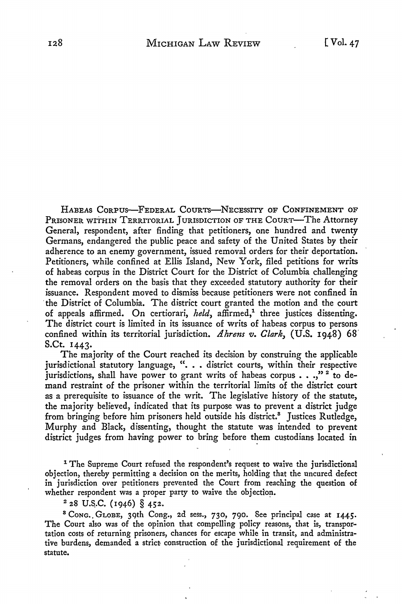HABEAS CORPUS-FEDERAL COURTS-NECESSITY OF CONFINEMENT OF PRISONER WITHIN TERRITORIAL JURISDICTION OF THE COURT—The Attorney General, respondent, after finding that petitioners, one hundred and twenty Germans, endangered the public peace and safety of the United States by their adherence to an enemy government, issued removal orders for their deportation. Petitioners, while confined at Ellis Island, New York, filed petitions for writs of habeas corpus in the District Court for the District of Columbia challenging the removal orders on the basis that they exceeded statutory authority for their issuance. Respondent moved to dismiss because petitioners were not confined in the District of Columbia. The district court granted the motion and the court of appeals affirmed. On certiorari, *held*, affirmed,<sup>1</sup> three justices dissenting. The district court is limited in its issuance of writs of habeas corpus to persons confined within its territorial jurisdiction. *Ahrens v. Clark,* (U.S. 1948) 68. S.Ct. 1443.

The majority of the Court reached its decision by construing the applicable jurisdictional statutory language, ". . . district courts, within their respective jurisdictions, shall have power to grant writs of habeas corpus  $\ldots$ ,"<sup>2</sup> to demand restraint of the prisoner within the territorial limits of the district court as a prerequisite to issuance of the writ. The legislative history of the statute, the majority believed, indicated that its purpose was to prevent a district judge from bringing before him prisoners held outside his district.<sup>8</sup> Justices Rutledge, Murphy and Black, dissenting, thought the statute was intended to prevent district judges from having power to bring before them custodians located in

<sup>1</sup> The Supreme Court refused the respondent's request to waive the jurisdictional objection, thereby permitting a decision on the merits, holding that the uncured defect in jurisdiction over petitioners prevented the Court from reaching the question of whether respondent was a proper party to waive the objection.

 $228$  U.S.C. (1946) § 452.

<sup>8</sup>CoNG .. GtoBE, 3gth Cong., 2d sess., 730, 790. See principal case at **1445.**  The Court also was of the opinion that compelling policy reasons, that is, transportation costs of returning prisoners, chances for escape while in transit, and administrative burdens, demanded a strict; construction of the jurisdictional requirement of the statute.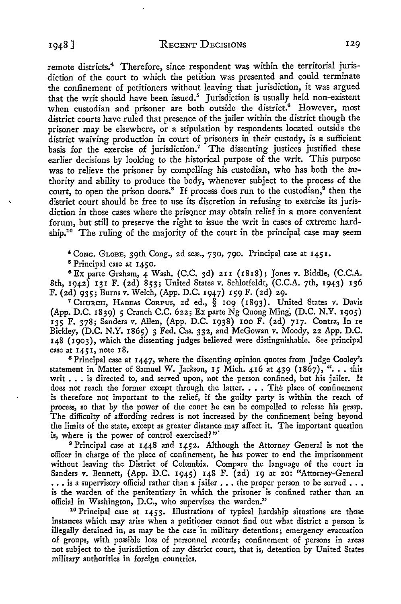remote districts.<sup>4</sup> Therefore, since respondent was within the territorial jurisdiction of the court to which the petition was presented and could terminate the confinement of petitioners without leaving that jurisdiction, it was argued that the writ should have been issued.<sup>5</sup> Jurisdiction is usually held non-existent when custodian and prisoner are both outside the district.<sup>6</sup> However, most district courts have ruled that presence of the jailer within the district though the prisoner may be elsewhere, or a stipulation by respondents located outside the district waiving production in court of prisoners in their custody, is a sufficient basis for the exercise of jurisdiction.<sup> $7$ </sup> The dissenting justices justified these earlier decisions by looking to the historical purpose of the writ. This purpose was to relieve the prisoner by compelling his custodian, who has both the authority and ability to produce the body, whenever subject to the process of the court, to open the prison doors.<sup>8</sup> If process does run to the custodian,<sup>9</sup> then the district court should be free to use its discretion in refusing to exercise its jurisdiction in those cases where the prisoner may obtain relief in a more convenient forum, but still *to* preserve the right to issue the writ in cases of extreme hardship.<sup>10</sup> The ruling of the majority of the court in the principal case may seem

~ CoNG. GLOBE, 39th Cong., 2d sess., 730, 790. Principal case at 1451.

5 Principal case at 1450.

<sup>6</sup>Ex parte Graham, 4 Wash. (C.C. 3d) 2II (1818); Jones v. Biddle, (C.C.A. 8th, 1942) 131 F. (2d) 853; United States v. Schlotfeldt, (C.C.A. 7th, 1943) 136 F. (2d) 935; Burns v. Welch, (App. D.C. 1947) 159 F. (2d) 29.

*<sup>1</sup>*CHURCH, HABEAS CoRPUS, 2d ed., § 109 (1893). United States v. Davis {App. D.C. 1839) *5* Cranch C.C. 622; Ex parte Ng Quong Ming, (D.C. N.Y. 1905) 135 F. 378; Sanders v. Allen, (App. D.C. 1938) 100 F. {2d) 717. Contra, In re Bickley, (D.C. N.Y. 1865) 3 Fed. Cas. 332, and McGowan v. Moody, 22 App. D.C. 148 ( 1903), which the dissenting judges believed were distinguishable. See principal case at 1451, note 18.

<sup>8</sup>Principal case at 1447, where the dissenting opinion quotes from Judge Cooley's statement in Matter of Samuel W. Jackson, 15 Mich. 416 at 439 (1867), ". . . this writ . . . is directed to, and served upon, not the person confined, but his jailer. It does not reach the former except through the latter.  $\ldots$  The place of confinement is therefore not important to the relief, if the guilty party is within the reach of process, so that by the power of the court he can be compelled to release his grasp. The difficulty of affording redress is not increased by the confinement being beyond the limits of the state, except as greater distance may affect it. The important question is, where is the power of control exercised?"

<sup>9</sup> Principal case at 1448 and 1452. Although the Attorney General is not the officer in charge of the place of confinement, he has power to end the imprisonment without leaving the District of Columbia. Compare the language of the court in Sanders v. Bennett, (App. D.C. 1945) 148 F. (2d) 19 at 20: "Attorney-General ... is a supervisory official rather than a jailer ... the proper person to be served ... is the warden of the penitentiary in which the prisoner is confined rather than an official in Washington, D.C., who supervises the warden."

10 Principal case at 1453. Illustrations of typical hardship situations are those instances which may arise when a petitioner cannot find out what district a person is illegally detained in, as may be the case in military detentions; emergency evacuation of groups, with possible loss of personnel records; confinement of persons in areas not subject to the jurisdiction of any district court, that is, detention by United States military authorities in foreign countries.